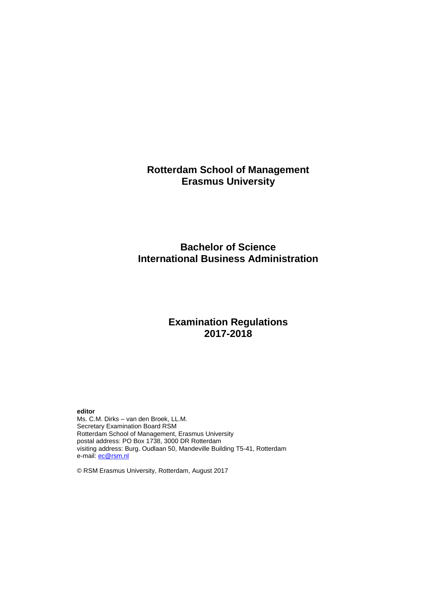# **Rotterdam School of Management Erasmus University**

# **Bachelor of Science International Business Administration**

# **Examination Regulations 2017-2018**

## **editor**

Ms. C.M. Dirks – van den Broek, LL.M. Secretary Examination Board RSM Rotterdam School of Management, Erasmus University postal address: PO Box 1738, 3000 DR Rotterdam visiting address: Burg. Oudlaan 50, Mandeville Building T5-41, Rotterdam e-mail: **ec@rsm.nl** 

© RSM Erasmus University, Rotterdam, August 2017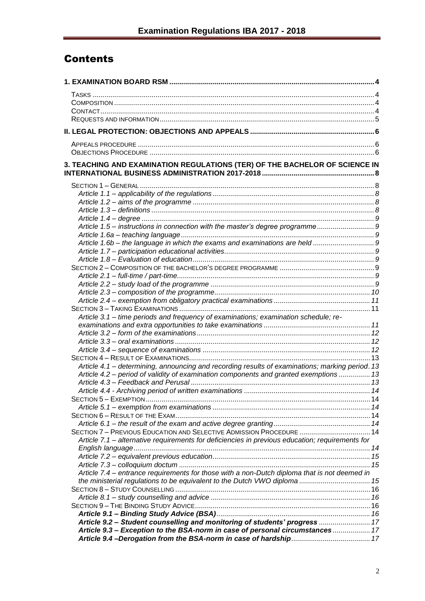# Contents

| 3. TEACHING AND EXAMINATION REGULATIONS (TER) OF THE BACHELOR OF SCIENCE IN                     |  |
|-------------------------------------------------------------------------------------------------|--|
|                                                                                                 |  |
|                                                                                                 |  |
|                                                                                                 |  |
|                                                                                                 |  |
|                                                                                                 |  |
| Article 1.5 - instructions in connection with the master's degree programme9                    |  |
|                                                                                                 |  |
|                                                                                                 |  |
|                                                                                                 |  |
|                                                                                                 |  |
|                                                                                                 |  |
|                                                                                                 |  |
|                                                                                                 |  |
|                                                                                                 |  |
|                                                                                                 |  |
|                                                                                                 |  |
| Article 3.1 - time periods and frequency of examinations; examination schedule; re-             |  |
|                                                                                                 |  |
|                                                                                                 |  |
|                                                                                                 |  |
|                                                                                                 |  |
| Article 4.1 - determining, announcing and recording results of examinations; marking period. 13 |  |
| Article 4.2 – period of validity of examination components and granted exemptions  13           |  |
|                                                                                                 |  |
|                                                                                                 |  |
|                                                                                                 |  |
|                                                                                                 |  |
|                                                                                                 |  |
|                                                                                                 |  |
| SECTION 7 - PREVIOUS EDUCATION AND SELECTIVE ADMISSION PROCEDURE  14                            |  |
| Article 7.1 - alternative requirements for deficiencies in previous education; requirements for |  |
|                                                                                                 |  |
|                                                                                                 |  |
|                                                                                                 |  |
| Article 7.4 - entrance requirements for those with a non-Dutch diploma that is not deemed in    |  |
| the ministerial regulations to be equivalent to the Dutch VWO diploma  15                       |  |
|                                                                                                 |  |
|                                                                                                 |  |
|                                                                                                 |  |
|                                                                                                 |  |
| Article 9.2 - Student counselling and monitoring of students' progress  17                      |  |
| Article 9.3 - Exception to the BSA-norm in case of personal circumstances  17                   |  |
|                                                                                                 |  |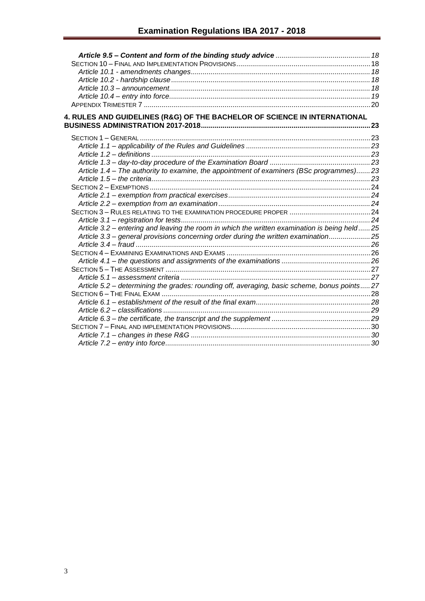| 4. RULES AND GUIDELINES (R&G) OF THE BACHELOR OF SCIENCE IN INTERNATIONAL                    |  |
|----------------------------------------------------------------------------------------------|--|
|                                                                                              |  |
|                                                                                              |  |
|                                                                                              |  |
|                                                                                              |  |
|                                                                                              |  |
| Article 1.4 – The authority to examine, the appointment of examiners (BSc programmes)23      |  |
|                                                                                              |  |
|                                                                                              |  |
|                                                                                              |  |
|                                                                                              |  |
|                                                                                              |  |
|                                                                                              |  |
| Article 3.2 - entering and leaving the room in which the written examination is being held25 |  |
| Article 3.3 - general provisions concerning order during the written examination25           |  |
|                                                                                              |  |
|                                                                                              |  |
|                                                                                              |  |
|                                                                                              |  |
|                                                                                              |  |
| Article 5.2 - determining the grades: rounding off, averaging, basic scheme, bonus points27  |  |
|                                                                                              |  |
|                                                                                              |  |
|                                                                                              |  |
|                                                                                              |  |
|                                                                                              |  |
|                                                                                              |  |
|                                                                                              |  |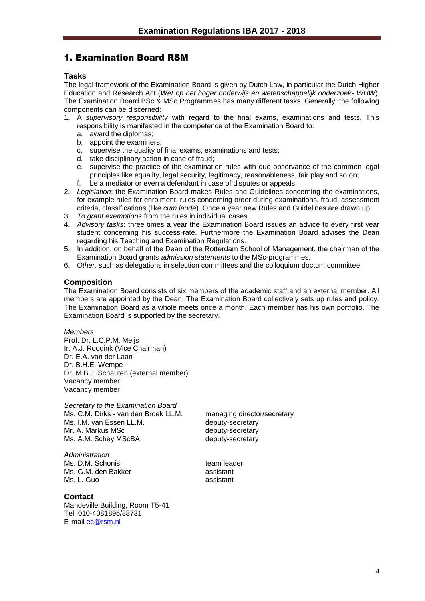# <span id="page-3-0"></span>1. Examination Board RSM

## <span id="page-3-1"></span>**Tasks**

The legal framework of the Examination Board is given by Dutch Law, in particular the Dutch Higher Education and Research Act (*Wet op het hoger onderwijs en wetenschappelijk onderzoek- WHW*). The Examination Board BSc & MSc Programmes has many different tasks. Generally, the following components can be discerned:

- 1. A *supervisory responsibility* with regard to the final exams, examinations and tests. This responsibility is manifested in the competence of the Examination Board to:
	- a. award the diplomas;
	- b. appoint the examiners;
	- c. supervise the quality of final exams, examinations and tests;
	- d. take disciplinary action in case of fraud;
	- e. supervise the practice of the examination rules with due observance of the common legal principles like equality, legal security, legitimacy, reasonableness, fair play and so on;
	- f. be a mediator or even a defendant in case of disputes or appeals.
- 2. *Legislation*: the Examination Board makes Rules and Guidelines concerning the examinations, for example rules for enrolment, rules concerning order during examinations, fraud, assessment criteria, classifications (like *cum laude*). Once a year new Rules and Guidelines are drawn up.
- 3. *To grant exemptions* from the rules in individual cases.
- 4. *Advisory tasks*: three times a year the Examination Board issues an advice to every first year student concerning his success-rate. Furthermore the Examination Board advises the Dean regarding his Teaching and Examination Regulations.
- 5. In addition, on behalf of the Dean of the Rotterdam School of Management, the chairman of the Examination Board grants *admission statements* to the MSc-programmes.
- 6. *Other,* such as delegations in selection committees and the colloquium doctum committee.

## <span id="page-3-2"></span>**Composition**

The Examination Board consists of six members of the academic staff and an external member. All members are appointed by the Dean. The Examination Board collectively sets up rules and policy. The Examination Board as a whole meets once a month. Each member has his own portfolio. The Examination Board is supported by the secretary.

*Members* Prof. Dr. L.C.P.M. Meijs Ir. A.J. Roodink (Vice Chairman) Dr. E.A. van der Laan Dr. B.H.E. Wempe Dr. M.B.J. Schauten (external member) Vacancy member Vacancy member

*Secretary to the Examination Board* Ms. C.M. Dirks - van den Broek LL.M. managing director/secretary Ms. I.M. van Essen LL.M. deputy-secretary Mr. A. Markus MSc deputy-secretary Ms. A.M. Schey MScBA deputy-secretary

*Administration* Ms. D.M. Schonis team leader Ms. G.M. den Bakker assistant Ms. L. Guo assistant

## <span id="page-3-3"></span>**Contact**

Mandeville Building, Room T5-41 Tel. 010-4081895/88731 E-mail [ec@rsm.nl](mailto:ec@rsm.nl)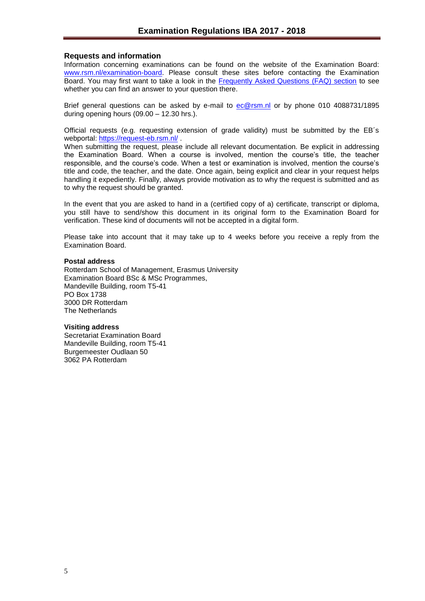## <span id="page-4-0"></span>**Requests and information**

Information concerning examinations can be found on the website of the Examination Board: [www.rsm.nl/examination-board.](http://www.rsm.nl/examination-board) Please consult these sites before contacting the Examination Board. You may first want to take a look in the [Frequently Asked Questions \(FAQ\) section](http://www.rsm.nl/examination-board/frequently-asked-questions-faqs/) to see whether you can find an answer to your question there.

Brief general questions can be asked by e-mail to [ec@rsm.nl](mailto:ec@rsm.nl) or by phone 010 4088731/1895 during opening hours (09.00 – 12.30 hrs.).

Official requests (e.g. requesting extension of grade validity) must be submitted by the EB´s webportal:<https://request-eb.rsm.nl/>

When submitting the request, please include all relevant documentation. Be explicit in addressing the Examination Board. When a course is involved, mention the course's title, the teacher responsible, and the course's code. When a test or examination is involved, mention the course's title and code, the teacher, and the date. Once again, being explicit and clear in your request helps handling it expediently. Finally, always provide motivation as to why the request is submitted and as to why the request should be granted.

In the event that you are asked to hand in a (certified copy of a) certificate, transcript or diploma, you still have to send/show this document in its original form to the Examination Board for verification. These kind of documents will not be accepted in a digital form.

Please take into account that it may take up to 4 weeks before you receive a reply from the Examination Board.

#### **Postal address**

Rotterdam School of Management, Erasmus University Examination Board BSc & MSc Programmes, Mandeville Building, room T5-41 PO Box 1738 3000 DR Rotterdam The Netherlands

#### **Visiting address**

Secretariat Examination Board Mandeville Building, room T5-41 Burgemeester Oudlaan 50 3062 PA Rotterdam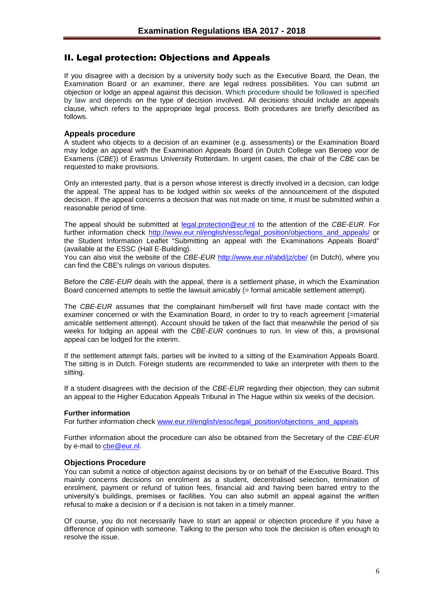## <span id="page-5-0"></span>II. Legal protection: Objections and Appeals

If you disagree with a decision by a university body such as the Executive Board, the Dean, the Examination Board or an examiner, there are legal redress possibilities. You can submit an objection or lodge an appeal against this decision. Which procedure should be followed is specified by law and depends on the type of decision involved. All decisions should include an appeals clause, which refers to the appropriate legal process. Both procedures are briefly described as follows.

## <span id="page-5-1"></span>**Appeals procedure**

A student who objects to a decision of an examiner (e.g. assessments) or the Examination Board may lodge an appeal with the Examination Appeals Board (in Dutch College van Beroep voor de Examens (*CBE*)) of Erasmus University Rotterdam. In urgent cases, the chair of the *CBE* can be requested to make provisions.

Only an interested party, that is a person whose interest is directly involved in a decision, can lodge the appeal. The appeal has to be lodged within six weeks of the announcement of the disputed decision. If the appeal concerns a decision that was not made on time, it must be submitted within a reasonable period of time.

The appeal should be submitted at [legal.protection@eur.nl](mailto:legal.protection@eur.nl) to the attention of the *CBE*-*EUR*. For further information check [http://www.eur.nl/english/essc/legal\\_position/objections\\_and\\_appeals/](http://www.eur.nl/english/essc/legal_position/objections_and_appeals/) or the Student Information Leaflet "Submitting an appeal with the Examinations Appeals Board" (available at the ESSC (Hall E-Building).

You can also visit the website of the *CBE-EUR* <http://www.eur.nl/abd/jz/cbe/> (in Dutch), where you can find the CBE's rulings on various disputes.

Before the *CBE*-*EUR* deals with the appeal, there is a settlement phase, in which the Examination Board concerned attempts to settle the lawsuit amicably (= formal amicable settlement attempt).

The *CBE*-*EUR* assumes that the complainant him/herself will first have made contact with the examiner concerned or with the Examination Board, in order to try to reach agreement (=material amicable settlement attempt). Account should be taken of the fact that meanwhile the period of six weeks for lodging an appeal with the *CBE*-*EUR* continues to run. In view of this, a provisional appeal can be lodged for the interim.

If the settlement attempt fails, parties will be invited to a sitting of the Examination Appeals Board. The sitting is in Dutch. Foreign students are recommended to take an interpreter with them to the sitting.

If a student disagrees with the decision of the *CBE-EUR* regarding their objection, they can submit an appeal to the Higher Education Appeals Tribunal in The Hague within six weeks of the decision.

#### **Further information**

For further information check [www.eur.nl/english/essc/legal\\_position/objections\\_and\\_appeals](http://www.eur.nl/english/essc/legal_position/objections_and_appeals)

Further information about the procedure can also be obtained from the Secretary of the *CBE-EUR* by e-mail to [cbe@eur.nl.](mailto:cbe@eur.nl)

#### <span id="page-5-2"></span>**Objections Procedure**

You can submit a notice of objection against decisions by or on behalf of the Executive Board. This mainly concerns decisions on enrolment as a student, decentralised selection, termination of enrolment, payment or refund of tuition fees, financial aid and having been barred entry to the university's buildings, premises or facilities. You can also submit an appeal against the written refusal to make a decision or if a decision is not taken in a timely manner.

Of course, you do not necessarily have to start an appeal or objection procedure if you have a difference of opinion with someone. Talking to the person who took the decision is often enough to resolve the issue.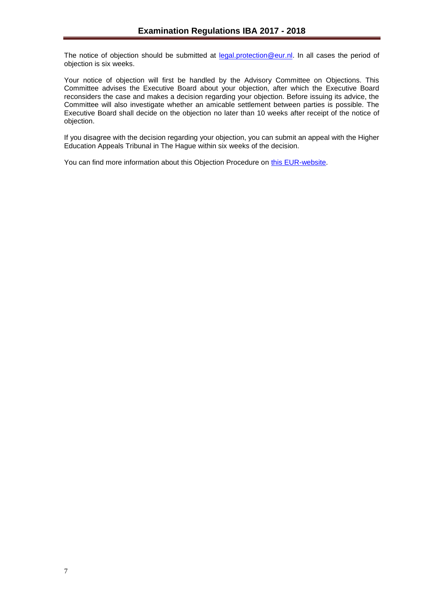The notice of objection should be submitted at [legal.protection@eur.nl.](mailto:legal.protection@eur.nl) In all cases the period of objection is six weeks.

Your notice of objection will first be handled by the Advisory Committee on Objections. This Committee advises the Executive Board about your objection, after which the Executive Board reconsiders the case and makes a decision regarding your objection. Before issuing its advice, the Committee will also investigate whether an amicable settlement between parties is possible. The Executive Board shall decide on the objection no later than 10 weeks after receipt of the notice of objection.

If you disagree with the decision regarding your objection, you can submit an appeal with the Higher Education Appeals Tribunal in The Hague within six weeks of the decision.

You can find more information about this Objection Procedure on [this EUR-website.](http://www.eur.nl/english/essc/legal_position/objections_and_appeals/)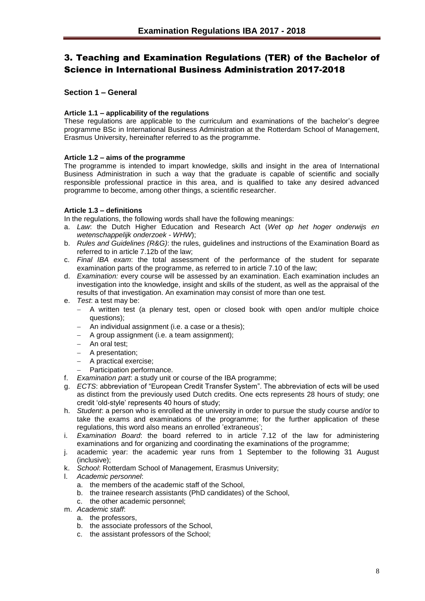# <span id="page-7-0"></span>3. Teaching and Examination Regulations (TER) of the Bachelor of Science in International Business Administration 2017-2018

## <span id="page-7-1"></span>**Section 1 – General**

## <span id="page-7-2"></span>**Article 1.1 – applicability of the regulations**

These regulations are applicable to the curriculum and examinations of the bachelor's degree programme BSc in International Business Administration at the Rotterdam School of Management, Erasmus University, hereinafter referred to as the programme.

## <span id="page-7-3"></span>**Article 1.2 – aims of the programme**

The programme is intended to impart knowledge, skills and insight in the area of International Business Administration in such a way that the graduate is capable of scientific and socially responsible professional practice in this area, and is qualified to take any desired advanced programme to become, among other things, a scientific researcher.

## <span id="page-7-4"></span>**Article 1.3 – definitions**

In the regulations, the following words shall have the following meanings:

- a. *Law*: the Dutch Higher Education and Research Act (*Wet op het hoger onderwijs en wetenschappelijk onderzoek* - *WHW*);
- b. *Rules and Guidelines (R&G)*: the rules, guidelines and instructions of the Examination Board as referred to in article 7.12b of the law;
- c. *Final IBA exam*: the total assessment of the performance of the student for separate examination parts of the programme, as referred to in article 7.10 of the law;
- d. *Examination:* every course will be assessed by an examination. Each examination includes an investigation into the knowledge, insight and skills of the student, as well as the appraisal of the results of that investigation. An examination may consist of more than one test.
- e. *Test*: a test may be:
	- A written test (a plenary test, open or closed book with open and/or multiple choice questions);
	- An individual assignment (i.e. a case or a thesis);
	- A group assignment (i.e. a team assignment);
	- An oral test;
	- A presentation:
	- A practical exercise;
	- Participation performance.
- f. *Examination part*: a study unit or course of the IBA programme;
- g. *ECTS*: abbreviation of "European Credit Transfer System". The abbreviation of ects will be used as distinct from the previously used Dutch credits. One ects represents 28 hours of study; one credit 'old-style' represents 40 hours of study;
- h. *Student*: a person who is enrolled at the university in order to pursue the study course and/or to take the exams and examinations of the programme; for the further application of these regulations, this word also means an enrolled 'extraneous';
- i. *Examination Board*: the board referred to in article 7.12 of the law for administering examinations and for organizing and coordinating the examinations of the programme;
- j. academic year: the academic year runs from 1 September to the following 31 August (inclusive);
- k. *School*: Rotterdam School of Management, Erasmus University;
- l. *Academic personnel*:
	- a. the members of the academic staff of the School,
	- b. the trainee research assistants (PhD candidates) of the School,
	- c. the other academic personnel;
- m. *Academic staff*:
	- a. the professors,
	- b. the associate professors of the School,
	- c. the assistant professors of the School;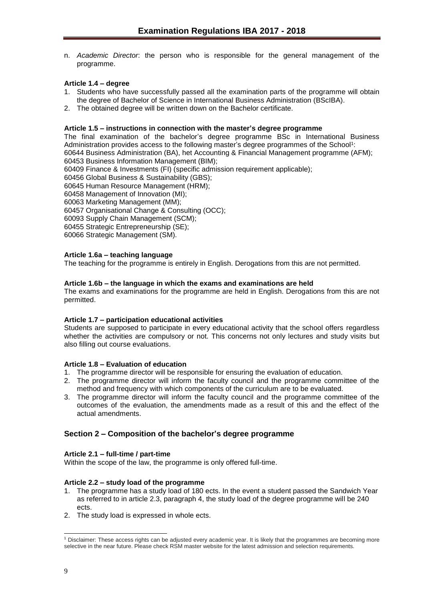n. *Academic Director*: the person who is responsible for the general management of the programme.

## <span id="page-8-0"></span>**Article 1.4 – degree**

- 1. Students who have successfully passed all the examination parts of the programme will obtain the degree of Bachelor of Science in International Business Administration (BScIBA).
- 2. The obtained degree will be written down on the Bachelor certificate.

## <span id="page-8-1"></span>**Article 1.5 – instructions in connection with the master's degree programme**

The final examination of the bachelor's degree programme BSc in International Business Administration provides access to the following master's degree programmes of the School<sup>1</sup>: 60644 Business Administration (BA), het Accounting & Financial Management programme (AFM);

60453 Business Information Management (BIM);

60409 Finance & Investments (FI) (specific admission requirement applicable);

60456 Global Business & Sustainability (GBS);

60645 Human Resource Management (HRM);

60458 Management of Innovation (MI);

60063 Marketing Management (MM);

60457 Organisational Change & Consulting (OCC);

60093 Supply Chain Management (SCM);

60455 Strategic Entrepreneurship (SE);

60066 Strategic Management (SM).

## <span id="page-8-2"></span>**Article 1.6a – teaching language**

The teaching for the programme is entirely in English. Derogations from this are not permitted.

## <span id="page-8-3"></span>**Article 1.6b – the language in which the exams and examinations are held**

The exams and examinations for the programme are held in English. Derogations from this are not permitted.

## <span id="page-8-4"></span>**Article 1.7 – participation educational activities**

Students are supposed to participate in every educational activity that the school offers regardless whether the activities are compulsory or not. This concerns not only lectures and study visits but also filling out course evaluations.

## <span id="page-8-5"></span>**Article 1.8 – Evaluation of education**

- 1. The programme director will be responsible for ensuring the evaluation of education.
- 2. The programme director will inform the faculty council and the programme committee of the method and frequency with which components of the curriculum are to be evaluated.
- 3. The programme director will inform the faculty council and the programme committee of the outcomes of the evaluation, the amendments made as a result of this and the effect of the actual amendments.

## <span id="page-8-6"></span>**Section 2 – Composition of the bachelor's degree programme**

## <span id="page-8-7"></span>**Article 2.1 – full-time / part-time**

Within the scope of the law, the programme is only offered full-time.

## <span id="page-8-8"></span>**Article 2.2 – study load of the programme**

- 1. The programme has a study load of 180 ects. In the event a student passed the Sandwich Year as referred to in article 2.3, paragraph 4, the study load of the degree programme will be 240 ects.
- 2. The study load is expressed in whole ects.

l <sup>1</sup> Disclaimer: These access rights can be adjusted every academic year. It is likely that the programmes are becoming more selective in the near future. Please check RSM master website for the latest admission and selection requirements.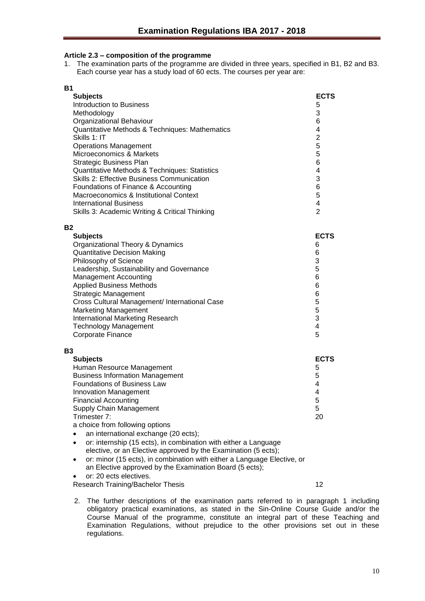## <span id="page-9-0"></span>**Article 2.3 – composition of the programme**

1. The examination parts of the programme are divided in three years, specified in B1, B2 and B3. Each course year has a study load of 60 ects. The courses per year are:

| <b>B1</b>                                      |                |
|------------------------------------------------|----------------|
| <b>Subjects</b>                                | <b>ECTS</b>    |
| <b>Introduction to Business</b>                | 5              |
| Methodology                                    | 3              |
| Organizational Behaviour                       | 6              |
| Quantitative Methods & Techniques: Mathematics | 4              |
| Skills 1: IT                                   | $\overline{2}$ |
| <b>Operations Management</b>                   | 5              |
| Microeconomics & Markets                       | 5              |
| <b>Strategic Business Plan</b>                 | 6              |
| Quantitative Methods & Techniques: Statistics  | 4              |
| Skills 2: Effective Business Communication     | 3              |
| Foundations of Finance & Accounting            | 6              |
| Macroeconomics & Institutional Context         | 5              |
| <b>International Business</b>                  | 4              |
| Skills 3: Academic Writing & Critical Thinking | $\overline{2}$ |
| <b>B2</b>                                      |                |
| <b>Subjects</b>                                | <b>ECTS</b>    |
| Organizational Theory & Dynamics               | 6              |
| <b>Quantitative Decision Making</b>            | 6              |
| Philosophy of Science                          | 3              |
| Leadership, Sustainability and Governance      | 5              |
| Management Accounting                          | 6              |
| <b>Applied Business Methods</b>                | 6              |
| <b>Strategic Management</b>                    | 6              |
|                                                |                |

Cross Cultural Management/ International Case 5 Marketing Management<br>
International Marketing Research<br>
3 International Marketing Research 3 Technology Management 4 **Corporate Finance** 5

## **B3**

| <b>Subjects</b>                        | <b>ECTS</b>    |
|----------------------------------------|----------------|
| Human Resource Management              | 5              |
| <b>Business Information Management</b> | 5              |
| Foundations of Business Law            | 4              |
| <b>Innovation Management</b>           | $\overline{4}$ |
| <b>Financial Accounting</b>            | 5              |
| Supply Chain Management                | 5              |
| Trimester 7:                           | 20             |
| a abaica fram following antiona        |                |

a choice from following options

- an international exchange (20 ects);
- or: internship (15 ects), in combination with either a Language elective, or an Elective approved by the Examination (5 ects);
- or: minor (15 ects), in combination with either a Language Elective, or an Elective approved by the Examination Board (5 ects);

or: 20 ects electives.

Research Training/Bachelor Thesis 12

2. The further descriptions of the examination parts referred to in paragraph 1 including obligatory practical examinations, as stated in the Sin-Online Course Guide and/or the Course Manual of the programme, constitute an integral part of these Teaching and Examination Regulations, without prejudice to the other provisions set out in these regulations.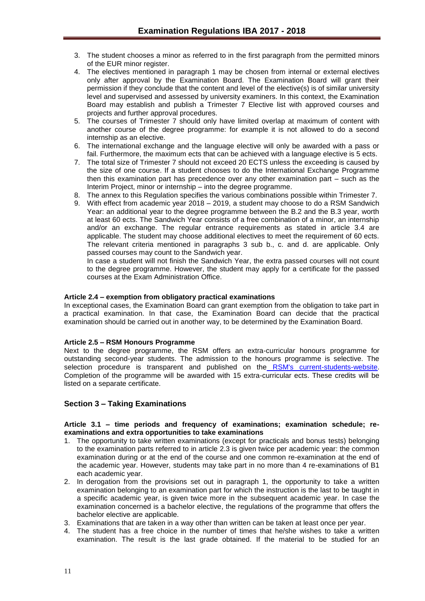- 3. The student chooses a minor as referred to in the first paragraph from the permitted minors of the EUR minor register.
- 4. The electives mentioned in paragraph 1 may be chosen from internal or external electives only after approval by the Examination Board. The Examination Board will grant their permission if they conclude that the content and level of the elective(s) is of similar university level and supervised and assessed by university examiners. In this context, the Examination Board may establish and publish a Trimester 7 Elective list with approved courses and projects and further approval procedures.
- 5. The courses of Trimester 7 should only have limited overlap at maximum of content with another course of the degree programme: for example it is not allowed to do a second internship as an elective.
- 6. The international exchange and the language elective will only be awarded with a pass or fail. Furthermore, the maximum ects that can be achieved with a language elective is 5 ects.
- 7. The total size of Trimester 7 should not exceed 20 ECTS unless the exceeding is caused by the size of one course. If a student chooses to do the International Exchange Programme then this examination part has precedence over any other examination part – such as the Interim Project, minor or internship – into the degree programme.
- 8. The annex to this Regulation specifies the various combinations possible within Trimester 7.
- 9. With effect from academic year 2018 2019, a student may choose to do a RSM Sandwich Year: an additional year to the degree programme between the B.2 and the B.3 year, worth at least 60 ects. The Sandwich Year consists of a free combination of a minor, an internship and/or an exchange. The regular entrance requirements as stated in article 3.4 are applicable. The student may choose additional electives to meet the requirement of 60 ects. The relevant criteria mentioned in paragraphs 3 sub b., c. and d. are applicable. Only passed courses may count to the Sandwich year.

In case a student will not finish the Sandwich Year, the extra passed courses will not count to the degree programme. However, the student may apply for a certificate for the passed courses at the Exam Administration Office.

## <span id="page-10-0"></span>**Article 2.4 – exemption from obligatory practical examinations**

In exceptional cases, the Examination Board can grant exemption from the obligation to take part in a practical examination. In that case, the Examination Board can decide that the practical examination should be carried out in another way, to be determined by the Examination Board.

## **Article 2.5 – RSM Honours Programme**

Next to the degree programme, the RSM offers an extra-curricular honours programme for outstanding second-year students. The admission to the honours programme is selective. The selection procedure is transparent and published on the [RSM's current-students-website.](http://www.rsm.nl/bachelor/current-students/current-bachelor-iba-students/bachelor-2/rsm-honours-programme/) Completion of the programme will be awarded with 15 extra-curricular ects. These credits will be listed on a separate certificate.

## <span id="page-10-1"></span>**Section 3 – Taking Examinations**

## <span id="page-10-2"></span>**Article 3.1 – time periods and frequency of examinations; examination schedule; reexaminations and extra opportunities to take examinations**

- 1. The opportunity to take written examinations (except for practicals and bonus tests) belonging to the examination parts referred to in article 2.3 is given twice per academic year: the common examination during or at the end of the course and one common re-examination at the end of the academic year. However, students may take part in no more than 4 re-examinations of B1 each academic year.
- 2. In derogation from the provisions set out in paragraph 1, the opportunity to take a written examination belonging to an examination part for which the instruction is the last to be taught in a specific academic year, is given twice more in the subsequent academic year. In case the examination concerned is a bachelor elective, the regulations of the programme that offers the bachelor elective are applicable.
- 3. Examinations that are taken in a way other than written can be taken at least once per year.
- 4. The student has a free choice in the number of times that he/she wishes to take a written examination. The result is the last grade obtained. If the material to be studied for an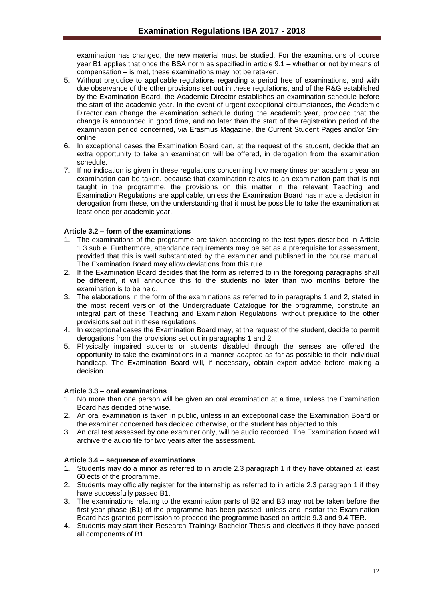examination has changed, the new material must be studied. For the examinations of course year B1 applies that once the BSA norm as specified in article 9.1 – whether or not by means of compensation – is met, these examinations may not be retaken.

- 5. Without prejudice to applicable regulations regarding a period free of examinations, and with due observance of the other provisions set out in these regulations, and of the R&G established by the Examination Board, the Academic Director establishes an examination schedule before the start of the academic year. In the event of urgent exceptional circumstances, the Academic Director can change the examination schedule during the academic year, provided that the change is announced in good time, and no later than the start of the registration period of the examination period concerned, via Erasmus Magazine, the Current Student Pages and/or Sinonline.
- 6. In exceptional cases the Examination Board can, at the request of the student, decide that an extra opportunity to take an examination will be offered, in derogation from the examination schedule.
- 7. If no indication is given in these regulations concerning how many times per academic year an examination can be taken, because that examination relates to an examination part that is not taught in the programme, the provisions on this matter in the relevant Teaching and Examination Regulations are applicable, unless the Examination Board has made a decision in derogation from these, on the understanding that it must be possible to take the examination at least once per academic year.

## <span id="page-11-0"></span>**Article 3.2 – form of the examinations**

- 1. The examinations of the programme are taken according to the test types described in Article 1.3 sub e. Furthermore, attendance requirements may be set as a prerequisite for assessment, provided that this is well substantiated by the examiner and published in the course manual. The Examination Board may allow deviations from this rule.
- 2. If the Examination Board decides that the form as referred to in the foregoing paragraphs shall be different, it will announce this to the students no later than two months before the examination is to be held.
- 3. The elaborations in the form of the examinations as referred to in paragraphs 1 and 2, stated in the most recent version of the Undergraduate Catalogue for the programme, constitute an integral part of these Teaching and Examination Regulations, without prejudice to the other provisions set out in these regulations.
- 4. In exceptional cases the Examination Board may, at the request of the student, decide to permit derogations from the provisions set out in paragraphs 1 and 2.
- 5. Physically impaired students or students disabled through the senses are offered the opportunity to take the examinations in a manner adapted as far as possible to their individual handicap. The Examination Board will, if necessary, obtain expert advice before making a decision.

## <span id="page-11-1"></span>**Article 3.3 – oral examinations**

- 1. No more than one person will be given an oral examination at a time, unless the Examination Board has decided otherwise.
- 2. An oral examination is taken in public, unless in an exceptional case the Examination Board or the examiner concerned has decided otherwise, or the student has objected to this.
- 3. An oral test assessed by one examiner only, will be audio recorded. The Examination Board will archive the audio file for two years after the assessment.

## <span id="page-11-2"></span>**Article 3.4 – sequence of examinations**

- 1. Students may do a minor as referred to in article 2.3 paragraph 1 if they have obtained at least 60 ects of the programme.
- 2. Students may officially register for the internship as referred to in article 2.3 paragraph 1 if they have successfully passed B1.
- 3. The examinations relating to the examination parts of B2 and B3 may not be taken before the first-year phase (B1) of the programme has been passed, unless and insofar the Examination Board has granted permission to proceed the programme based on article 9.3 and 9.4 TER.
- 4. Students may start their Research Training/ Bachelor Thesis and electives if they have passed all components of B1.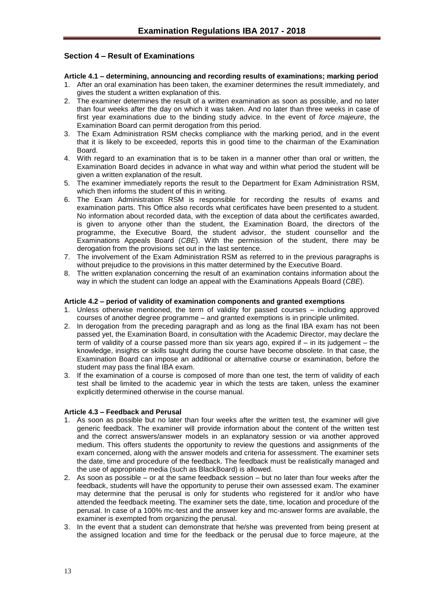## <span id="page-12-0"></span>**Section 4 – Result of Examinations**

## <span id="page-12-1"></span>**Article 4.1 – determining, announcing and recording results of examinations; marking period**

- 1. After an oral examination has been taken, the examiner determines the result immediately, and gives the student a written explanation of this.
- 2. The examiner determines the result of a written examination as soon as possible, and no later than four weeks after the day on which it was taken. And no later than three weeks in case of first year examinations due to the binding study advice. In the event of *force majeure*, the Examination Board can permit derogation from this period.
- 3. The Exam Administration RSM checks compliance with the marking period, and in the event that it is likely to be exceeded, reports this in good time to the chairman of the Examination Board.
- 4. With regard to an examination that is to be taken in a manner other than oral or written, the Examination Board decides in advance in what way and within what period the student will be given a written explanation of the result.
- 5. The examiner immediately reports the result to the Department for Exam Administration RSM, which then informs the student of this in writing.
- 6. The Exam Administration RSM is responsible for recording the results of exams and examination parts. This Office also records what certificates have been presented to a student. No information about recorded data, with the exception of data about the certificates awarded, is given to anyone other than the student, the Examination Board, the directors of the programme, the Executive Board, the student advisor, the student counsellor and the Examinations Appeals Board (*CBE*). With the permission of the student, there may be derogation from the provisions set out in the last sentence.
- 7. The involvement of the Exam Administration RSM as referred to in the previous paragraphs is without prejudice to the provisions in this matter determined by the Executive Board.
- 8. The written explanation concerning the result of an examination contains information about the way in which the student can lodge an appeal with the Examinations Appeals Board (*CBE*).

## <span id="page-12-2"></span>**Article 4.2 – period of validity of examination components and granted exemptions**

- 1. Unless otherwise mentioned, the term of validity for passed courses including approved courses of another degree programme – and granted exemptions is in principle unlimited.
- 2. In derogation from the preceding paragraph and as long as the final IBA exam has not been passed yet, the Examination Board, in consultation with the Academic Director, may declare the term of validity of a course passed more than six years ago, expired if – in its judgement – the knowledge, insights or skills taught during the course have become obsolete. In that case, the Examination Board can impose an additional or alternative course or examination, before the student may pass the final IBA exam.
- 3. If the examination of a course is composed of more than one test, the term of validity of each test shall be limited to the academic year in which the tests are taken, unless the examiner explicitly determined otherwise in the course manual.

## <span id="page-12-3"></span>**Article 4.3 – Feedback and Perusal**

- 1. As soon as possible but no later than four weeks after the written test, the examiner will give generic feedback. The examiner will provide information about the content of the written test and the correct answers/answer models in an explanatory session or via another approved medium. This offers students the opportunity to review the questions and assignments of the exam concerned, along with the answer models and criteria for assessment. The examiner sets the date, time and procedure of the feedback. The feedback must be realistically managed and the use of appropriate media (such as BlackBoard) is allowed.
- 2. As soon as possible or at the same feedback session but no later than four weeks after the feedback, students will have the opportunity to peruse their own assessed exam. The examiner may determine that the perusal is only for students who registered for it and/or who have attended the feedback meeting. The examiner sets the date, time, location and procedure of the perusal. In case of a 100% mc-test and the answer key and mc-answer forms are available, the examiner is exempted from organizing the perusal.
- 3. In the event that a student can demonstrate that he/she was prevented from being present at the assigned location and time for the feedback or the perusal due to force majeure, at the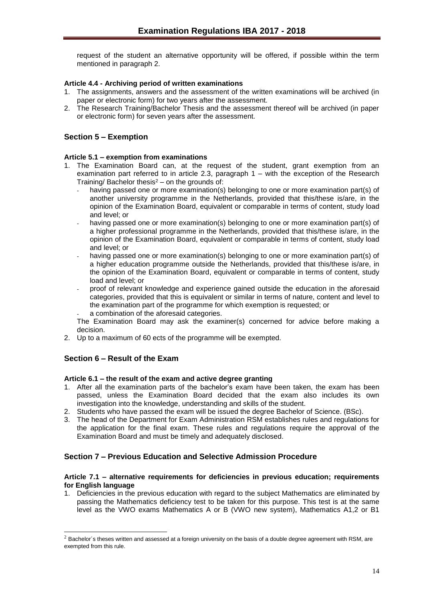request of the student an alternative opportunity will be offered, if possible within the term mentioned in paragraph 2.

## <span id="page-13-0"></span>**Article 4.4 - Archiving period of written examinations**

- 1. The assignments, answers and the assessment of the written examinations will be archived (in paper or electronic form) for two years after the assessment.
- 2. The Research Training/Bachelor Thesis and the assessment thereof will be archived (in paper or electronic form) for seven years after the assessment.

## <span id="page-13-1"></span>**Section 5 – Exemption**

## <span id="page-13-2"></span>**Article 5.1 – exemption from examinations**

- 1. The Examination Board can, at the request of the student, grant exemption from an examination part referred to in article 2.3, paragraph 1 – with the exception of the Research Training/ Bachelor thesis $2 -$  on the grounds of:
	- having passed one or more examination(s) belonging to one or more examination part(s) of another university programme in the Netherlands, provided that this/these is/are, in the opinion of the Examination Board, equivalent or comparable in terms of content, study load and level; or
	- having passed one or more examination(s) belonging to one or more examination part(s) of a higher professional programme in the Netherlands, provided that this/these is/are, in the opinion of the Examination Board, equivalent or comparable in terms of content, study load and level; or
	- having passed one or more examination(s) belonging to one or more examination part(s) of a higher education programme outside the Netherlands, provided that this/these is/are, in the opinion of the Examination Board, equivalent or comparable in terms of content, study load and level; or
	- proof of relevant knowledge and experience gained outside the education in the aforesaid categories, provided that this is equivalent or similar in terms of nature, content and level to the examination part of the programme for which exemption is requested; or a combination of the aforesaid categories.

The Examination Board may ask the examiner(s) concerned for advice before making a decision.

2. Up to a maximum of 60 ects of the programme will be exempted.

## <span id="page-13-3"></span>**Section 6 – Result of the Exam**

l

## <span id="page-13-4"></span>**Article 6.1 – the result of the exam and active degree granting**

- 1. After all the examination parts of the bachelor's exam have been taken, the exam has been passed, unless the Examination Board decided that the exam also includes its own investigation into the knowledge, understanding and skills of the student.
- 2. Students who have passed the exam will be issued the degree Bachelor of Science. (BSc).
- 3. The head of the Department for Exam Administration RSM establishes rules and regulations for the application for the final exam. These rules and regulations require the approval of the Examination Board and must be timely and adequately disclosed.

## <span id="page-13-5"></span>**Section 7 – Previous Education and Selective Admission Procedure**

#### <span id="page-13-6"></span>**Article 7.1 – alternative requirements for deficiencies in previous education; requirements for English language**

1. Deficiencies in the previous education with regard to the subject Mathematics are eliminated by passing the Mathematics deficiency test to be taken for this purpose. This test is at the same level as the VWO exams Mathematics A or B (VWO new system), Mathematics A1,2 or B1

 $2$  Bachelor´s theses written and assessed at a foreign university on the basis of a double degree agreement with RSM, are exempted from this rule.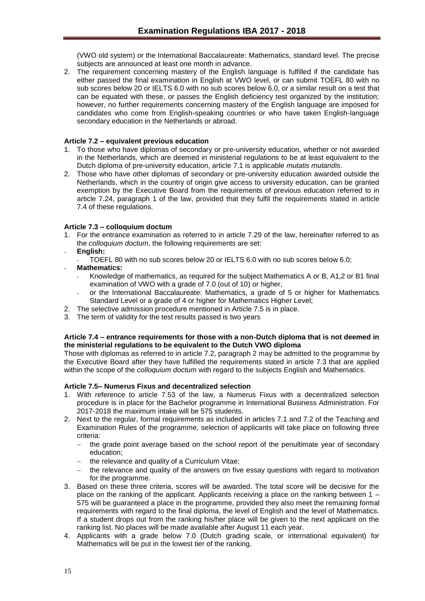(VWO old system) or the International Baccalaureate: Mathematics, standard level. The precise subjects are announced at least one month in advance.

2. The requirement concerning mastery of the English language is fulfilled if the candidate has either passed the final examination in English at VWO level, or can submit TOEFL 80 with no sub scores below 20 or IELTS 6.0 with no sub scores below 6.0, or a similar result on a test that can be equated with these, or passes the English deficiency test organized by the institution; however, no further requirements concerning mastery of the English language are imposed for candidates who come from English-speaking countries or who have taken English-language secondary education in the Netherlands or abroad.

## <span id="page-14-0"></span>**Article 7.2 – equivalent previous education**

- 1. To those who have diplomas of secondary or pre-university education, whether or not awarded in the Netherlands, which are deemed in ministerial regulations to be at least equivalent to the Dutch diploma of pre-university education, article 7.1 is applicable *mutatis mutandis*.
- 2. Those who have other diplomas of secondary or pre-university education awarded outside the Netherlands, which in the country of origin give access to university education, can be granted exemption by the Executive Board from the requirements of previous education referred to in article 7.24, paragraph 1 of the law, provided that they fulfil the requirements stated in article 7.4 of these regulations.

## <span id="page-14-1"></span>**Article 7.3 – colloquium doctum**

- 1. For the entrance examination as referred to in article 7.29 of the law, hereinafter referred to as the *colloquium doctum*, the following requirements are set:
- **English:**
	- TOEFL 80 with no sub scores below 20 or IELTS 6.0 with no sub scores below 6.0;
- **Mathematics:**
	- Knowledge of mathematics, as required for the subject Mathematics A or B, A1,2 or B1 final examination of VWO with a grade of 7.0 (out of 10) or higher,
	- or the International Baccalaureate: Mathematics, a grade of 5 or higher for Mathematics Standard Level or a grade of 4 or higher for Mathematics Higher Level;
- 2. The selective admission procedure mentioned in Article 7.5 is in place.
- 3. The term of validity for the test results passed is two years

## <span id="page-14-2"></span>**Article 7.4 – entrance requirements for those with a non-Dutch diploma that is not deemed in the ministerial regulations to be equivalent to the Dutch VWO diploma**

Those with diplomas as referred to in article 7.2, paragraph 2 may be admitted to the programme by the Executive Board after they have fulfilled the requirements stated in article 7.3 that are applied within the scope of the *colloquium doctum* with regard to the subjects English and Mathematics.

## **Article 7.5– Numerus Fixus and decentralized selection**

- 1. With reference to article 7.53 of the law, a Numerus Fixus with a decentralized selection procedure is in place for the Bachelor programme in International Business Administration. For 2017-2018 the maximum intake will be 575 students.
- 2. Next to the regular, formal requirements as included in articles 7.1 and 7.2 of the Teaching and Examination Rules of the programme, selection of applicants will take place on following three criteria:
	- the grade point average based on the school report of the penultimate year of secondary education;
	- the relevance and quality of a Curriculum Vitae;
	- the relevance and quality of the answers on five essay questions with regard to motivation for the programme.
- 3. Based on these three criteria, scores will be awarded. The total score will be decisive for the place on the ranking of the applicant. Applicants receiving a place on the ranking between 1 – 575 will be guaranteed a place in the programme, provided they also meet the remaining formal requirements with regard to the final diploma, the level of English and the level of Mathematics. If a student drops out from the ranking his/her place will be given to the next applicant on the ranking list. No places will be made available after August 11 each year.
- 4. Applicants with a grade below 7.0 (Dutch grading scale, or international equivalent) for Mathematics will be put in the lowest tier of the ranking.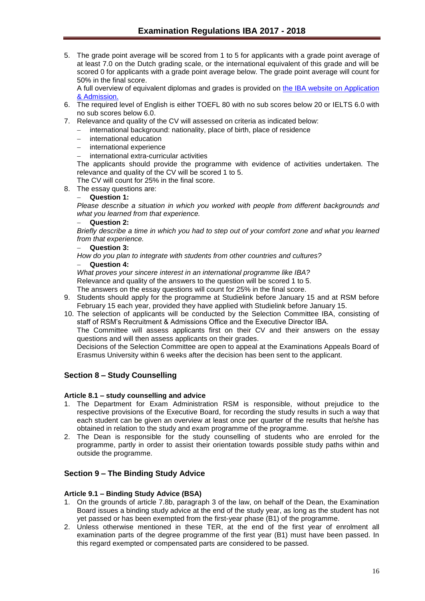5. The grade point average will be scored from 1 to 5 for applicants with a grade point average of at least 7.0 on the Dutch grading scale, or the international equivalent of this grade and will be scored 0 for applicants with a grade point average below. The grade point average will count for 50% in the final score.

A full overview of equivalent diplomas and grades is provided on [the IBA website on Application](http://www.rsm.nl/bachelor/international-business-administration/admission-application/selection-criteria-per-diploma/)  [& Admission.](http://www.rsm.nl/bachelor/international-business-administration/admission-application/selection-criteria-per-diploma/)

- 6. The required level of English is either TOEFL 80 with no sub scores below 20 or IELTS 6.0 with no sub scores below 6.0.
- 7. Relevance and quality of the CV will assessed on criteria as indicated below:
	- international background: nationality, place of birth, place of residence
	- international education
	- international experience
	- international extra-curricular activities

The applicants should provide the programme with evidence of activities undertaken. The relevance and quality of the CV will be scored 1 to 5.

The CV will count for 25% in the final score.

8. The essay questions are:

## **Question 1:**

*Please describe a situation in which you worked with people from different backgrounds and what you learned from that experience.*

## **Question 2:**

*Briefly describe a time in which you had to step out of your comfort zone and what you learned from that experience.*

**Question 3:** 

*How do you plan to integrate with students from other countries and cultures?*

**Question 4:**

*What proves your sincere interest in an international programme like IBA?*

Relevance and quality of the answers to the question will be scored 1 to 5.

The answers on the essay questions will count for 25% in the final score.

- 9. Students should apply for the programme at Studielink before January 15 and at RSM before February 15 each year, provided they have applied with Studielink before January 15.
- 10. The selection of applicants will be conducted by the Selection Committee IBA, consisting of staff of RSM's Recruitment & Admissions Office and the Executive Director IBA.

The Committee will assess applicants first on their CV and their answers on the essay questions and will then assess applicants on their grades.

Decisions of the Selection Committee are open to appeal at the Examinations Appeals Board of Erasmus University within 6 weeks after the decision has been sent to the applicant.

## <span id="page-15-0"></span>**Section 8 – Study Counselling**

## <span id="page-15-1"></span>**Article 8.1 – study counselling and advice**

- 1. The Department for Exam Administration RSM is responsible, without prejudice to the respective provisions of the Executive Board, for recording the study results in such a way that each student can be given an overview at least once per quarter of the results that he/she has obtained in relation to the study and exam programme of the programme.
- 2. The Dean is responsible for the study counselling of students who are enroled for the programme, partly in order to assist their orientation towards possible study paths within and outside the programme.

## <span id="page-15-2"></span>**Section 9 – The Binding Study Advice**

## <span id="page-15-3"></span>**Article 9.1 – Binding Study Advice (BSA)**

- 1. On the grounds of article 7.8b, paragraph 3 of the law, on behalf of the Dean, the Examination Board issues a binding study advice at the end of the study year, as long as the student has not yet passed or has been exempted from the first-year phase (B1) of the programme.
- 2. Unless otherwise mentioned in these TER, at the end of the first year of enrolment all examination parts of the degree programme of the first year (B1) must have been passed. In this regard exempted or compensated parts are considered to be passed.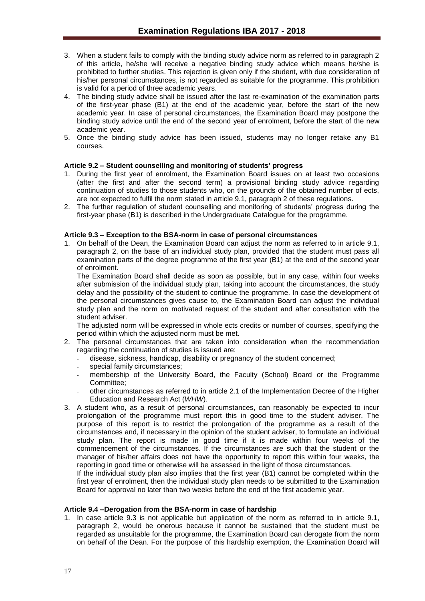- 3. When a student fails to comply with the binding study advice norm as referred to in paragraph 2 of this article, he/she will receive a negative binding study advice which means he/she is prohibited to further studies. This rejection is given only if the student, with due consideration of his/her personal circumstances, is not regarded as suitable for the programme. This prohibition is valid for a period of three academic years.
- 4. The binding study advice shall be issued after the last re-examination of the examination parts of the first-year phase (B1) at the end of the academic year, before the start of the new academic year. In case of personal circumstances, the Examination Board may postpone the binding study advice until the end of the second year of enrolment, before the start of the new academic year.
- 5. Once the binding study advice has been issued, students may no longer retake any B1 courses.

## <span id="page-16-0"></span>**Article 9.2 – Student counselling and monitoring of students' progress**

- 1. During the first year of enrolment, the Examination Board issues on at least two occasions (after the first and after the second term) a provisional binding study advice regarding continuation of studies to those students who, on the grounds of the obtained number of ects, are not expected to fulfil the norm stated in article 9.1, paragraph 2 of these regulations.
- 2. The further regulation of student counselling and monitoring of students' progress during the first-year phase (B1) is described in the Undergraduate Catalogue for the programme.

## <span id="page-16-1"></span>**Article 9.3 – Exception to the BSA-norm in case of personal circumstances**

1. On behalf of the Dean, the Examination Board can adjust the norm as referred to in article 9.1, paragraph 2, on the base of an individual study plan, provided that the student must pass all examination parts of the degree programme of the first year (B1) at the end of the second year of enrolment.

The Examination Board shall decide as soon as possible, but in any case, within four weeks after submission of the individual study plan, taking into account the circumstances, the study delay and the possibility of the student to continue the programme. In case the development of the personal circumstances gives cause to, the Examination Board can adjust the individual study plan and the norm on motivated request of the student and after consultation with the student adviser.

The adjusted norm will be expressed in whole ects credits or number of courses, specifying the period within which the adjusted norm must be met.

- 2. The personal circumstances that are taken into consideration when the recommendation regarding the continuation of studies is issued are:
	- disease, sickness, handicap, disability or pregnancy of the student concerned;
	- special family circumstances:
	- membership of the University Board, the Faculty (School) Board or the Programme Committee;
	- other circumstances as referred to in article 2.1 of the Implementation Decree of the Higher Education and Research Act (*WHW*).
- 3. A student who, as a result of personal circumstances, can reasonably be expected to incur prolongation of the programme must report this in good time to the student adviser. The purpose of this report is to restrict the prolongation of the programme as a result of the circumstances and, if necessary in the opinion of the student adviser, to formulate an individual study plan. The report is made in good time if it is made within four weeks of the commencement of the circumstances. If the circumstances are such that the student or the manager of his/her affairs does not have the opportunity to report this within four weeks, the reporting in good time or otherwise will be assessed in the light of those circumstances.

If the individual study plan also implies that the first year (B1) cannot be completed within the first year of enrolment, then the individual study plan needs to be submitted to the Examination Board for approval no later than two weeks before the end of the first academic year.

#### <span id="page-16-2"></span>**Article 9.4 –Derogation from the BSA-norm in case of hardship**

1. In case article 9.3 is not applicable but application of the norm as referred to in article 9.1, paragraph 2, would be onerous because it cannot be sustained that the student must be regarded as unsuitable for the programme, the Examination Board can derogate from the norm on behalf of the Dean. For the purpose of this hardship exemption, the Examination Board will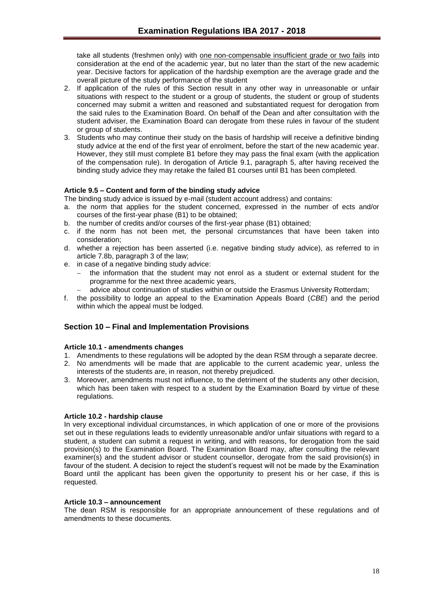take all students (freshmen only) with one non-compensable insufficient grade or two fails into consideration at the end of the academic year, but no later than the start of the new academic year. Decisive factors for application of the hardship exemption are the average grade and the overall picture of the study performance of the student

- 2. If application of the rules of this Section result in any other way in unreasonable or unfair situations with respect to the student or a group of students, the student or group of students concerned may submit a written and reasoned and substantiated request for derogation from the said rules to the Examination Board. On behalf of the Dean and after consultation with the student adviser, the Examination Board can derogate from these rules in favour of the student or group of students.
- 3. Students who may continue their study on the basis of hardship will receive a definitive binding study advice at the end of the first year of enrolment, before the start of the new academic year. However, they still must complete B1 before they may pass the final exam (with the application of the compensation rule). In derogation of Article 9.1, paragraph 5, after having received the binding study advice they may retake the failed B1 courses until B1 has been completed.

## <span id="page-17-0"></span>**Article 9.5 – Content and form of the binding study advice**

The binding study advice is issued by e-mail (student account address) and contains:

- a. the norm that applies for the student concerned, expressed in the number of ects and/or courses of the first-year phase (B1) to be obtained;
- b. the number of credits and/or courses of the first-year phase (B1) obtained;
- c. if the norm has not been met, the personal circumstances that have been taken into consideration;
- d. whether a rejection has been asserted (i.e. negative binding study advice), as referred to in article 7.8b, paragraph 3 of the law;
- e. in case of a negative binding study advice:
	- the information that the student may not enrol as a student or external student for the programme for the next three academic years,
	- advice about continuation of studies within or outside the Erasmus University Rotterdam;
- f. the possibility to lodge an appeal to the Examination Appeals Board (*CBE*) and the period within which the appeal must be lodged.

## <span id="page-17-1"></span>**Section 10 – Final and Implementation Provisions**

#### <span id="page-17-2"></span>**Article 10.1 - amendments changes**

- 1. Amendments to these regulations will be adopted by the dean RSM through a separate decree.
- 2. No amendments will be made that are applicable to the current academic year, unless the interests of the students are, in reason, not thereby prejudiced.
- 3. Moreover, amendments must not influence, to the detriment of the students any other decision, which has been taken with respect to a student by the Examination Board by virtue of these regulations.

#### <span id="page-17-3"></span>**Article 10.2 - hardship clause**

In very exceptional individual circumstances, in which application of one or more of the provisions set out in these regulations leads to evidently unreasonable and/or unfair situations with regard to a student, a student can submit a request in writing, and with reasons, for derogation from the said provision(s) to the Examination Board. The Examination Board may, after consulting the relevant examiner(s) and the student advisor or student counsellor, derogate from the said provision(s) in favour of the student. A decision to reject the student's request will not be made by the Examination Board until the applicant has been given the opportunity to present his or her case, if this is requested.

#### <span id="page-17-4"></span>**Article 10.3 – announcement**

The dean RSM is responsible for an appropriate announcement of these regulations and of amendments to these documents.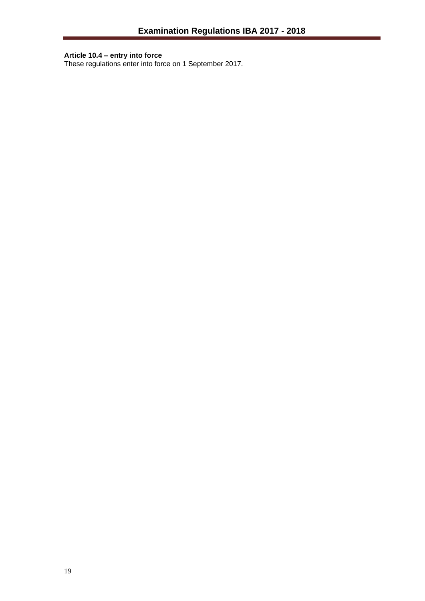#### <span id="page-18-0"></span>**Article 10.4 – entry into force**

These regulations enter into force on 1 September 2017.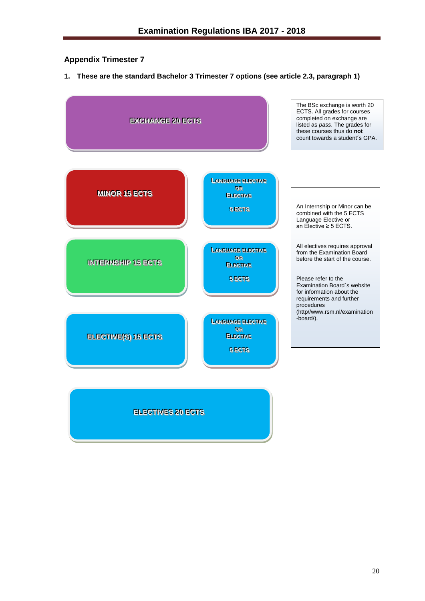## <span id="page-19-0"></span>**Appendix Trimester 7**

**1. These are the standard Bachelor 3 Trimester 7 options (see article 2.3, paragraph 1)**



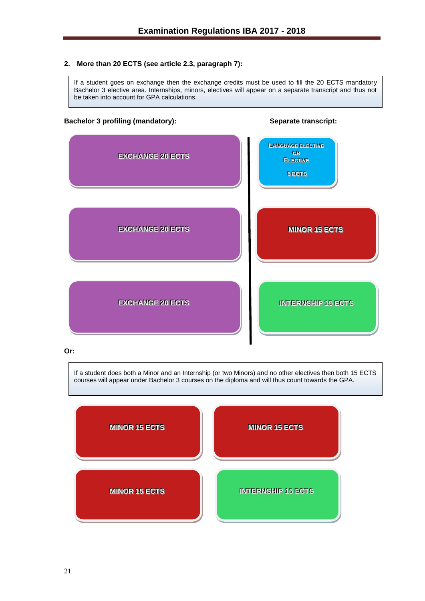## **2. More than 20 ECTS (see article 2.3, paragraph 7):**

If a student goes on exchange then the exchange credits must be used to fill the 20 ECTS mandatory Bachelor 3 elective area. Internships, minors, electives will appear on a separate transcript and thus not be taken into account for GPA calculations.

#### **Bachelor 3 profiling (mandatory): Separate transcript:**



#### **Or:**

If a student does both a Minor and an Internship (or two Minors) and no other electives then both 15 ECTS courses will appear under Bachelor 3 courses on the diploma and will thus count towards the GPA.

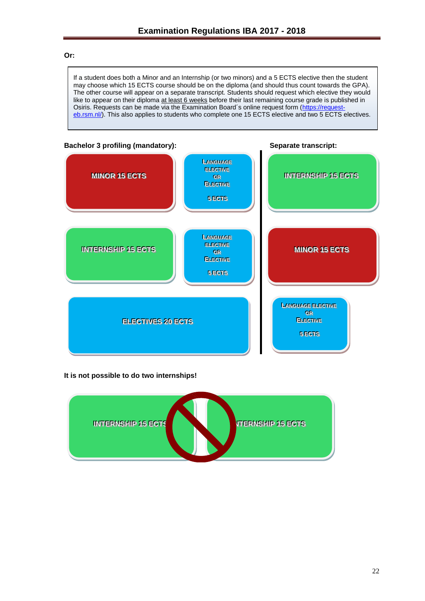#### **Or:**

If a student does both a Minor and an Internship (or two minors) and a 5 ECTS elective then the student may choose which 15 ECTS course should be on the diploma (and should thus count towards the GPA). The other course will appear on a separate transcript. Students should request which elective they would like to appear on their diploma at least 6 weeks before their last remaining course grade is published in Osiris. Requests can be made via the Examination Board's online request form [\(https://request](https://request-eb.rsm.nl/)[eb.rsm.nl/\)](https://request-eb.rsm.nl/). This also applies to students who complete one 15 ECTS elective and two 5 ECTS electives.



## **It is not possible to do two internships!**

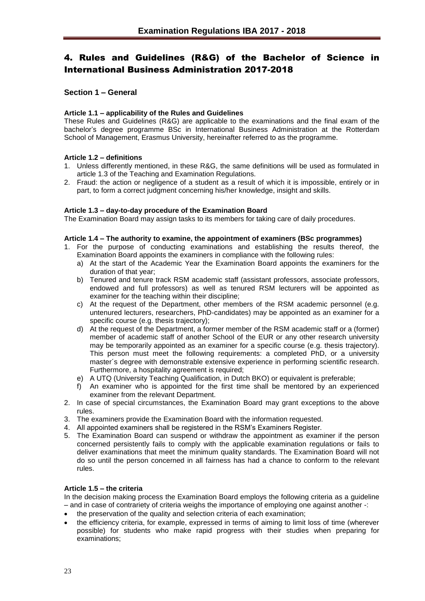# <span id="page-22-0"></span>4. Rules and Guidelines (R&G) of the Bachelor of Science in International Business Administration 2017-2018

## <span id="page-22-1"></span>**Section 1 – General**

## <span id="page-22-2"></span>**Article 1.1 – applicability of the Rules and Guidelines**

These Rules and Guidelines (R&G) are applicable to the examinations and the final exam of the bachelor's degree programme BSc in International Business Administration at the Rotterdam School of Management, Erasmus University, hereinafter referred to as the programme.

## <span id="page-22-3"></span>**Article 1.2 – definitions**

- 1. Unless differently mentioned, in these R&G, the same definitions will be used as formulated in article 1.3 of the Teaching and Examination Regulations.
- 2. Fraud: the action or negligence of a student as a result of which it is impossible, entirely or in part, to form a correct judgment concerning his/her knowledge, insight and skills.

#### <span id="page-22-4"></span>**Article 1.3 – day-to-day procedure of the Examination Board**

The Examination Board may assign tasks to its members for taking care of daily procedures.

## <span id="page-22-5"></span>**Article 1.4 – The authority to examine, the appointment of examiners (BSc programmes)**

- 1. For the purpose of conducting examinations and establishing the results thereof, the Examination Board appoints the examiners in compliance with the following rules:
	- a) At the start of the Academic Year the Examination Board appoints the examiners for the duration of that year;
	- b) Tenured and tenure track RSM academic staff (assistant professors, associate professors, endowed and full professors) as well as tenured RSM lecturers will be appointed as examiner for the teaching within their discipline;
	- c) At the request of the Department, other members of the RSM academic personnel (e.g. untenured lecturers, researchers, PhD-candidates) may be appointed as an examiner for a specific course (e.g. thesis trajectory);
	- d) At the request of the Department, a former member of the RSM academic staff or a (former) member of academic staff of another School of the EUR or any other research university may be temporarily appointed as an examiner for a specific course (e.g. thesis trajectory). This person must meet the following requirements: a completed PhD, or a university master´s degree with demonstrable extensive experience in performing scientific research. Furthermore, a hospitality agreement is required;
	- e) A UTQ (University Teaching Qualification, in Dutch BKO) or equivalent is preferable;
	- f) An examiner who is appointed for the first time shall be mentored by an experienced examiner from the relevant Department.
- 2. In case of special circumstances, the Examination Board may grant exceptions to the above rules.
- 3. The examiners provide the Examination Board with the information requested.
- 4. All appointed examiners shall be registered in the RSM's Examiners Register.
- 5. The Examination Board can suspend or withdraw the appointment as examiner if the person concerned persistently fails to comply with the applicable examination regulations or fails to deliver examinations that meet the minimum quality standards. The Examination Board will not do so until the person concerned in all fairness has had a chance to conform to the relevant rules.

## <span id="page-22-6"></span>**Article 1.5 – the criteria**

In the decision making process the Examination Board employs the following criteria as a guideline – and in case of contrariety of criteria weighs the importance of employing one against another -:

- the preservation of the quality and selection criteria of each examination;
- the efficiency criteria, for example, expressed in terms of aiming to limit loss of time (wherever possible) for students who make rapid progress with their studies when preparing for examinations;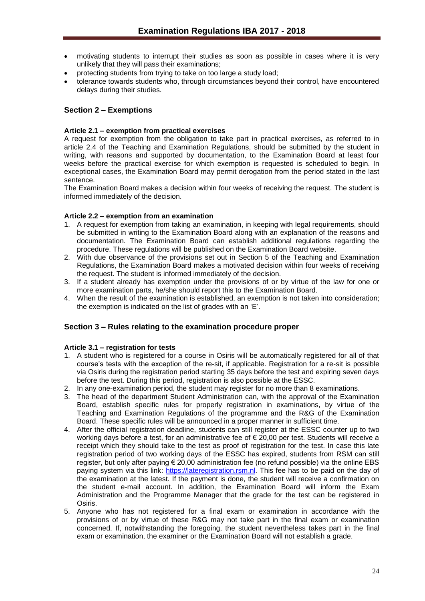- motivating students to interrupt their studies as soon as possible in cases where it is very unlikely that they will pass their examinations;
- protecting students from trying to take on too large a study load;
- tolerance towards students who, through circumstances beyond their control, have encountered delays during their studies.

## <span id="page-23-0"></span>**Section 2 – Exemptions**

## <span id="page-23-1"></span>**Article 2.1 – exemption from practical exercises**

A request for exemption from the obligation to take part in practical exercises, as referred to in article 2.4 of the Teaching and Examination Regulations, should be submitted by the student in writing, with reasons and supported by documentation, to the Examination Board at least four weeks before the practical exercise for which exemption is requested is scheduled to begin. In exceptional cases, the Examination Board may permit derogation from the period stated in the last sentence.

The Examination Board makes a decision within four weeks of receiving the request. The student is informed immediately of the decision.

## <span id="page-23-2"></span>**Article 2.2 – exemption from an examination**

- 1. A request for exemption from taking an examination, in keeping with legal requirements, should be submitted in writing to the Examination Board along with an explanation of the reasons and documentation. The Examination Board can establish additional regulations regarding the procedure. These regulations will be published on the Examination Board website.
- 2. With due observance of the provisions set out in Section 5 of the Teaching and Examination Regulations, the Examination Board makes a motivated decision within four weeks of receiving the request. The student is informed immediately of the decision.
- 3. If a student already has exemption under the provisions of or by virtue of the law for one or more examination parts, he/she should report this to the Examination Board.
- 4. When the result of the examination is established, an exemption is not taken into consideration; the exemption is indicated on the list of grades with an 'E'.

## <span id="page-23-3"></span>**Section 3 – Rules relating to the examination procedure proper**

## <span id="page-23-4"></span>**Article 3.1 – registration for tests**

- 1. A student who is registered for a course in Osiris will be automatically registered for all of that course's tests with the exception of the re-sit, if applicable. Registration for a re-sit is possible via Osiris during the registration period starting 35 days before the test and expiring seven days before the test. During this period, registration is also possible at the ESSC.
- 2. In any one-examination period, the student may register for no more than 8 examinations.
- 3. The head of the department Student Administration can, with the approval of the Examination Board, establish specific rules for properly registration in examinations, by virtue of the Teaching and Examination Regulations of the programme and the R&G of the Examination Board. These specific rules will be announced in a proper manner in sufficient time.
- 4. After the official registration deadline, students can still register at the ESSC counter up to two working days before a test, for an administrative fee of  $\epsilon$  20,00 per test. Students will receive a receipt which they should take to the test as proof of registration for the test. In case this late registration period of two working days of the ESSC has expired, students from RSM can still register, but only after paying € 20,00 administration fee (no refund possible) via the online EBS paying system via this link: [https://lateregistration.rsm.nl.](https://lateregistration.rsm.nl/) This fee has to be paid on the day of the examination at the latest. If the payment is done, the student will receive a confirmation on the student e-mail account. In addition, the Examination Board will inform the Exam Administration and the Programme Manager that the grade for the test can be registered in Osiris.
- 5. Anyone who has not registered for a final exam or examination in accordance with the provisions of or by virtue of these R&G may not take part in the final exam or examination concerned. If, notwithstanding the foregoing, the student nevertheless takes part in the final exam or examination, the examiner or the Examination Board will not establish a grade.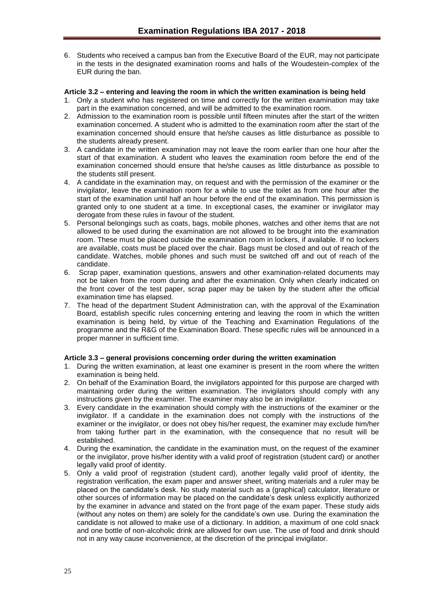6. Students who received a campus ban from the Executive Board of the EUR, may not participate in the tests in the designated examination rooms and halls of the Woudestein-complex of the EUR during the ban.

## <span id="page-24-0"></span>**Article 3.2 – entering and leaving the room in which the written examination is being held**

- 1. Only a student who has registered on time and correctly for the written examination may take part in the examination concerned, and will be admitted to the examination room.
- 2. Admission to the examination room is possible until fifteen minutes after the start of the written examination concerned. A student who is admitted to the examination room after the start of the examination concerned should ensure that he/she causes as little disturbance as possible to the students already present.
- 3. A candidate in the written examination may not leave the room earlier than one hour after the start of that examination. A student who leaves the examination room before the end of the examination concerned should ensure that he/she causes as little disturbance as possible to the students still present.
- 4. A candidate in the examination may, on request and with the permission of the examiner or the invigilator, leave the examination room for a while to use the toilet as from one hour after the start of the examination until half an hour before the end of the examination. This permission is granted only to one student at a time. In exceptional cases, the examiner or invigilator may derogate from these rules in favour of the student.
- 5. Personal belongings such as coats, bags, mobile phones, watches and other items that are not allowed to be used during the examination are not allowed to be brought into the examination room. These must be placed outside the examination room in lockers, if available. If no lockers are available, coats must be placed over the chair. Bags must be closed and out of reach of the candidate. Watches, mobile phones and such must be switched off and out of reach of the candidate.
- 6. Scrap paper, examination questions, answers and other examination-related documents may not be taken from the room during and after the examination. Only when clearly indicated on the front cover of the test paper, scrap paper may be taken by the student after the official examination time has elapsed.
- 7. The head of the department Student Administration can, with the approval of the Examination Board, establish specific rules concerning entering and leaving the room in which the written examination is being held, by virtue of the Teaching and Examination Regulations of the programme and the R&G of the Examination Board. These specific rules will be announced in a proper manner in sufficient time.

## <span id="page-24-1"></span>**Article 3.3 – general provisions concerning order during the written examination**

- 1. During the written examination, at least one examiner is present in the room where the written examination is being held.
- 2. On behalf of the Examination Board, the invigilators appointed for this purpose are charged with maintaining order during the written examination. The invigilators should comply with any instructions given by the examiner. The examiner may also be an invigilator.
- 3. Every candidate in the examination should comply with the instructions of the examiner or the invigilator. If a candidate in the examination does not comply with the instructions of the examiner or the invigilator, or does not obey his/her request, the examiner may exclude him/her from taking further part in the examination, with the consequence that no result will be established.
- 4. During the examination, the candidate in the examination must, on the request of the examiner or the invigilator, prove his/her identity with a valid proof of registration (student card) or another legally valid proof of identity.
- 5. Only a valid proof of registration (student card), another legally valid proof of identity, the registration verification, the exam paper and answer sheet, writing materials and a ruler may be placed on the candidate's desk. No study material such as a (graphical) calculator, literature or other sources of information may be placed on the candidate's desk unless explicitly authorized by the examiner in advance and stated on the front page of the exam paper. These study aids (without any notes on them) are solely for the candidate's own use. During the examination the candidate is not allowed to make use of a dictionary. In addition, a maximum of one cold snack and one bottle of non-alcoholic drink are allowed for own use. The use of food and drink should not in any way cause inconvenience, at the discretion of the principal invigilator.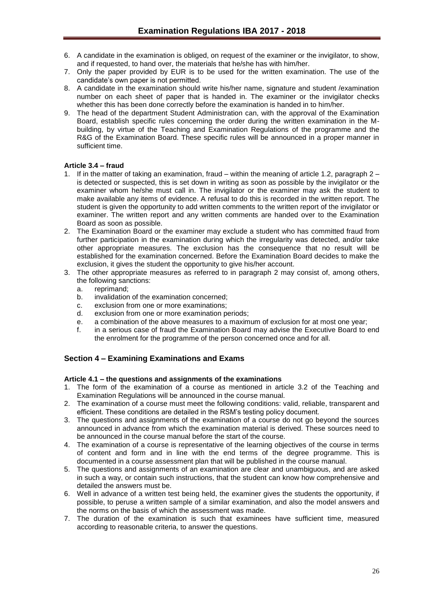- 6. A candidate in the examination is obliged, on request of the examiner or the invigilator, to show, and if requested, to hand over, the materials that he/she has with him/her.
- 7. Only the paper provided by EUR is to be used for the written examination. The use of the candidate's own paper is not permitted.
- 8. A candidate in the examination should write his/her name, signature and student /examination number on each sheet of paper that is handed in. The examiner or the invigilator checks whether this has been done correctly before the examination is handed in to him/her.
- 9. The head of the department Student Administration can, with the approval of the Examination Board, establish specific rules concerning the order during the written examination in the Mbuilding, by virtue of the Teaching and Examination Regulations of the programme and the R&G of the Examination Board. These specific rules will be announced in a proper manner in sufficient time.

## <span id="page-25-0"></span>**Article 3.4 – fraud**

- 1. If in the matter of taking an examination, fraud within the meaning of article 1.2, paragraph 2 is detected or suspected, this is set down in writing as soon as possible by the invigilator or the examiner whom he/she must call in. The invigilator or the examiner may ask the student to make available any items of evidence. A refusal to do this is recorded in the written report. The student is given the opportunity to add written comments to the written report of the invigilator or examiner. The written report and any written comments are handed over to the Examination Board as soon as possible.
- 2. The Examination Board or the examiner may exclude a student who has committed fraud from further participation in the examination during which the irregularity was detected, and/or take other appropriate measures. The exclusion has the consequence that no result will be established for the examination concerned. Before the Examination Board decides to make the exclusion, it gives the student the opportunity to give his/her account.
- 3. The other appropriate measures as referred to in paragraph 2 may consist of, among others, the following sanctions:
	- a. reprimand;
	- b. invalidation of the examination concerned;
	- c. exclusion from one or more examinations;
	- d. exclusion from one or more examination periods;
	- e. a combination of the above measures to a maximum of exclusion for at most one year;
	- f. in a serious case of fraud the Examination Board may advise the Executive Board to end the enrolment for the programme of the person concerned once and for all.

## <span id="page-25-1"></span>**Section 4 – Examining Examinations and Exams**

## <span id="page-25-2"></span>**Article 4.1 – the questions and assignments of the examinations**

- 1. The form of the examination of a course as mentioned in article 3.2 of the Teaching and Examination Regulations will be announced in the course manual.
- 2. The examination of a course must meet the following conditions: valid, reliable, transparent and efficient. These conditions are detailed in the RSM's testing policy document.
- 3. The questions and assignments of the examination of a course do not go beyond the sources announced in advance from which the examination material is derived. These sources need to be announced in the course manual before the start of the course.
- 4. The examination of a course is representative of the learning objectives of the course in terms of content and form and in line with the end terms of the degree programme. This is documented in a course assessment plan that will be published in the course manual.
- 5. The questions and assignments of an examination are clear and unambiguous, and are asked in such a way, or contain such instructions, that the student can know how comprehensive and detailed the answers must be.
- 6. Well in advance of a written test being held, the examiner gives the students the opportunity, if possible, to peruse a written sample of a similar examination, and also the model answers and the norms on the basis of which the assessment was made.
- 7. The duration of the examination is such that examinees have sufficient time, measured according to reasonable criteria, to answer the questions.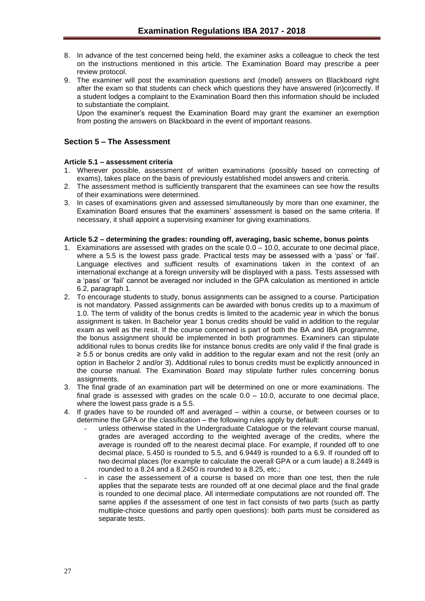- 8. In advance of the test concerned being held, the examiner asks a colleague to check the test on the instructions mentioned in this article. The Examination Board may prescribe a peer review protocol.
- 9. The examiner will post the examination questions and (model) answers on Blackboard right after the exam so that students can check which questions they have answered (in)correctly. If a student lodges a complaint to the Examination Board then this information should be included to substantiate the complaint.

Upon the examiner's request the Examination Board may grant the examiner an exemption from posting the answers on Blackboard in the event of important reasons.

## <span id="page-26-0"></span>**Section 5 – The Assessment**

## <span id="page-26-1"></span>**Article 5.1 – assessment criteria**

- 1. Wherever possible, assessment of written examinations (possibly based on correcting of exams), takes place on the basis of previously established model answers and criteria.
- 2. The assessment method is sufficiently transparent that the examinees can see how the results of their examinations were determined.
- 3. In cases of examinations given and assessed simultaneously by more than one examiner, the Examination Board ensures that the examiners' assessment is based on the same criteria. If necessary, it shall appoint a supervising examiner for giving examinations.

#### <span id="page-26-2"></span>**Article 5.2 – determining the grades: rounding off, averaging, basic scheme, bonus points**

- 1. Examinations are assessed with grades on the scale  $0.0 10.0$ , accurate to one decimal place, where a 5.5 is the lowest pass grade. Practical tests may be assessed with a 'pass' or 'fail'. Language electives and sufficient results of examinations taken in the context of an international exchange at a foreign university will be displayed with a pass. Tests assessed with a 'pass' or 'fail' cannot be averaged nor included in the GPA calculation as mentioned in article 6.2, paragraph 1.
- 2. To encourage students to study, bonus assignments can be assigned to a course. Participation is not mandatory. Passed assignments can be awarded with bonus credits up to a maximum of 1.0. The term of validity of the bonus credits is limited to the academic year in which the bonus assignment is taken. In Bachelor year 1 bonus credits should be valid in addition to the regular exam as well as the resit. If the course concerned is part of both the BA and IBA programme, the bonus assignment should be implemented in both programmes. Examiners can stipulate additional rules to bonus credits like for instance bonus credits are only valid if the final grade is ≥ 5.5 or bonus credits are only valid in addition to the regular exam and not the resit (only an option in Bachelor 2 and/or 3). Additional rules to bonus credits must be explicitly announced in the course manual. The Examination Board may stipulate further rules concerning bonus assignments.
- 3. The final grade of an examination part will be determined on one or more examinations. The final grade is assessed with grades on the scale  $0.0 - 10.0$ , accurate to one decimal place, where the lowest pass grade is a 5.5.
- 4. If grades have to be rounded off and averaged within a course, or between courses or to determine the GPA or the classification – the following rules apply by default:
	- unless otherwise stated in the Undergraduate Catalogue or the relevant course manual, grades are averaged according to the weighted average of the credits, where the average is rounded off to the nearest decimal place. For example, if rounded off to one decimal place, 5.450 is rounded to 5.5, and 6.9449 is rounded to a 6.9. If rounded off to two decimal places (for example to calculate the overall GPA or a cum laude) a 8.2449 is rounded to a 8.24 and a 8.2450 is rounded to a 8.25, etc.;
	- in case the assessement of a course is based on more than one test, then the rule applies that the separate tests are rounded off at one decimal place and the final grade is rounded to one decimal place. All intermediate computations are not rounded off. The same applies if the assessment of one test in fact consists of two parts (such as partly multiple-choice questions and partly open questions): both parts must be considered as separate tests.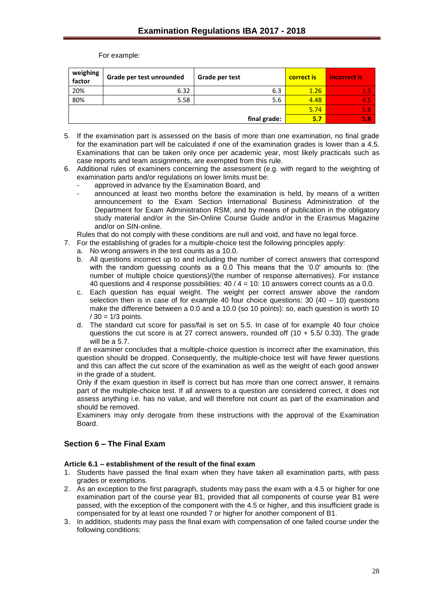For example:

| weighing<br>factor | Grade per test unrounded | Grade per test | correct is | incorrect is |
|--------------------|--------------------------|----------------|------------|--------------|
| 20%                | 6.32                     | 6.3            | 1.26       |              |
| 80%                | 5.58                     | 5.6            | 4.48       | 4.5          |
|                    |                          |                | 5.74       | 5.8.         |
|                    |                          | final grade:   | 5.7        | 5.8          |

- 5. If the examination part is assessed on the basis of more than one examination, no final grade for the examination part will be calculated if one of the examination grades is lower than a 4.5. Examinations that can be taken only once per academic year, most likely practicals such as case reports and team assignments, are exempted from this rule.
- 6. Additional rules of examiners concerning the assessment (e.g. with regard to the weighting of examination parts and/or regulations on lower limits must be:
	- approved in advance by the Examination Board, and
	- $\sin$  announced at least two months before the examination is held, by means of a written announcement to the Exam Section International Business Administration of the Department for Exam Administration RSM, and by means of publication in the obligatory study material and/or in the Sin-Online Course Guide and/or in the Erasmus Magazine and/or on SIN-online.

Rules that do not comply with these conditions are null and void, and have no legal force.

- 7. For the establishing of grades for a multiple-choice test the following principles apply:
	- a. No wrong answers in the test counts as a 10.0.
	- b. All questions incorrect up to and including the number of correct answers that correspond with the random guessing counts as a 0.0 This means that the '0.0' amounts to: (the number of multiple choice questions)/(the number of response alternatives). For instance 40 questions and 4 response possibilities: 40 / 4 = 10: 10 answers correct counts as a 0.0.
	- c. Each question has equal weight. The weight per correct answer above the random selection then is in case of for example 40 four choice questions:  $30$  (40 – 10) questions make the difference between a 0.0 and a 10.0 (so 10 points): so, each question is worth 10  $/ 30 = 1/3$  points.
	- d. The standard cut score for pass/fail is set on 5.5. In case of for example 40 four choice questions the cut score is at 27 correct answers, rounded off  $(10 + 5.5/ 0.33)$ . The grade will be a 5.7.

If an examiner concludes that a multiple-choice question is incorrect after the examination, this question should be dropped. Consequently, the multiple-choice test will have fewer questions and this can affect the cut score of the examination as well as the weight of each good answer in the grade of a student.

Only if the exam question in itself is correct but has more than one correct answer, it remains part of the multiple-choice test. If all answers to a question are considered correct, it does not assess anything i.e. has no value, and will therefore not count as part of the examination and should be removed.

Examiners may only derogate from these instructions with the approval of the Examination Board.

## <span id="page-27-0"></span>**Section 6 – The Final Exam**

## <span id="page-27-1"></span>**Article 6.1 – establishment of the result of the final exam**

- 1. Students have passed the final exam when they have taken all examination parts, with pass grades or exemptions.
- 2. As an exception to the first paragraph, students may pass the exam with a 4.5 or higher for one examination part of the course year B1, provided that all components of course year B1 were passed, with the exception of the component with the 4.5 or higher, and this insufficient grade is compensated for by at least one rounded 7 or higher for another component of B1.
- 3. In addition, students may pass the final exam with compensation of one failed course under the following conditions: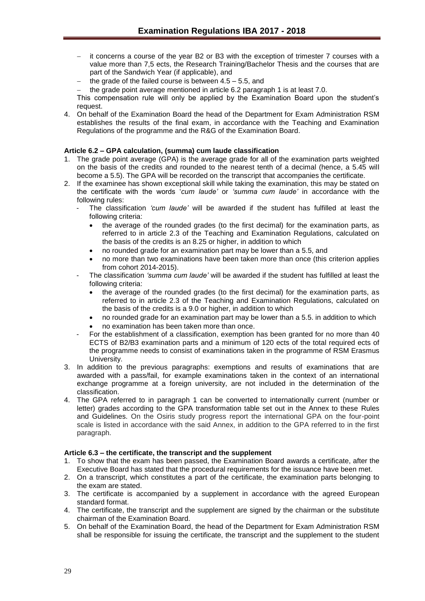- it concerns a course of the year B2 or B3 with the exception of trimester 7 courses with a value more than 7,5 ects, the Research Training/Bachelor Thesis and the courses that are part of the Sandwich Year (if applicable), and
- the grade of the failed course is between 4.5 5.5, and
- $-$  the grade point average mentioned in article 6.2 paragraph 1 is at least 7.0.

This compensation rule will only be applied by the Examination Board upon the student's request.

4. On behalf of the Examination Board the head of the Department for Exam Administration RSM establishes the results of the final exam, in accordance with the Teaching and Examination Regulations of the programme and the R&G of the Examination Board.

## <span id="page-28-0"></span>**Article 6.2 – GPA calculation, (summa) cum laude classification**

- 1. The grade point average (GPA) is the average grade for all of the examination parts weighted on the basis of the credits and rounded to the nearest tenth of a decimal (hence, a 5.45 will become a 5.5). The GPA will be recorded on the transcript that accompanies the certificate.
- 2. If the examinee has shown exceptional skill while taking the examination, this may be stated on the certificate with the words '*cum laude'* or *'summa cum laude'* in accordance with the following rules:
	- The classification 'cum laude' will be awarded if the student has fulfilled at least the following criteria:
		- the average of the rounded grades (to the first decimal) for the examination parts, as referred to in article 2.3 of the Teaching and Examination Regulations, calculated on the basis of the credits is an 8.25 or higher, in addition to which
		- no rounded grade for an examination part may be lower than a 5.5, and
		- no more than two examinations have been taken more than once (this criterion applies from cohort 2014-2015).
	- The classification *'summa cum laude'* will be awarded if the student has fulfilled at least the following criteria:
		- the average of the rounded grades (to the first decimal) for the examination parts, as referred to in article 2.3 of the Teaching and Examination Regulations, calculated on the basis of the credits is a 9.0 or higher, in addition to which
		- no rounded grade for an examination part may be lower than a 5.5. in addition to which no examination has been taken more than once.
	- For the establishment of a classification, exemption has been granted for no more than 40 ECTS of B2/B3 examination parts and a minimum of 120 ects of the total required ects of the programme needs to consist of examinations taken in the programme of RSM Erasmus University.
- 3. In addition to the previous paragraphs: exemptions and results of examinations that are awarded with a pass/fail, for example examinations taken in the context of an international exchange programme at a foreign university, are not included in the determination of the classification.
- 4. The GPA referred to in paragraph 1 can be converted to internationally current (number or letter) grades according to the GPA transformation table set out in the Annex to these Rules and Guidelines. On the Osiris study progress report the international GPA on the four-point scale is listed in accordance with the said Annex, in addition to the GPA referred to in the first paragraph.

## <span id="page-28-1"></span>**Article 6.3 – the certificate, the transcript and the supplement**

- 1. To show that the exam has been passed, the Examination Board awards a certificate, after the Executive Board has stated that the procedural requirements for the issuance have been met.
- 2. On a transcript, which constitutes a part of the certificate, the examination parts belonging to the exam are stated.
- 3. The certificate is accompanied by a supplement in accordance with the agreed European standard format.
- 4. The certificate, the transcript and the supplement are signed by the chairman or the substitute chairman of the Examination Board.
- 5. On behalf of the Examination Board, the head of the Department for Exam Administration RSM shall be responsible for issuing the certificate, the transcript and the supplement to the student